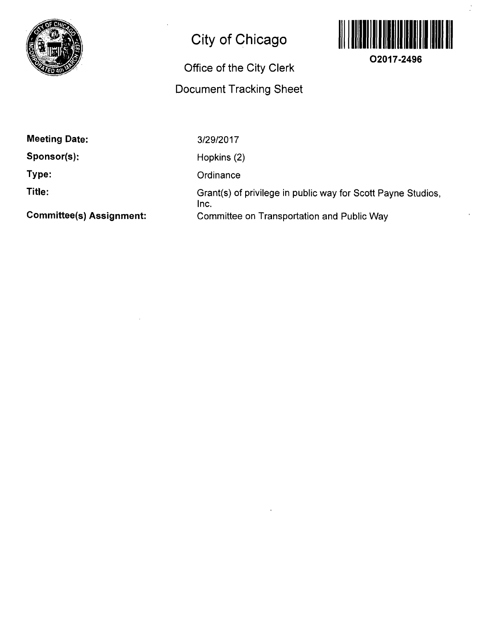

## **City of Chicago**

## Office of the City Clerk Document Tracking Sheet



**O2017-2496** 

**Meeting Date:** 

**Sponsor(s);** 

**Type:** 

**Title:** 

**Committee(s) Assignment:** 

3/29/2017

Hopkins (2)

**Ordinance** 

Grant(s) of privilege in public way for Scott Payne Studios, Inc. Committee on Transportation and Public Way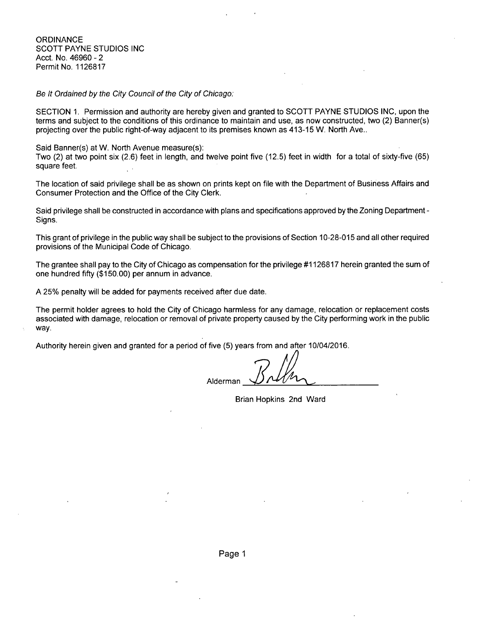**ORDINANCE** SCOTT PAYNE STUDIOS INC Acct. No. 46960 - 2 Permit No. 1126817

Se It Ordained by the City Council of the City of Chicago:

SECTION 1. Permission and authority are hereby given and granted to SCOTT PAYNE STUDIOS INC, upon the terms and subject to the conditions of this ordinance to maintain and use, as now constructed, two (2) Banner(s) projecting over the public right-of-way adjacent to its premises known as 413-15 W. North Ave..

Said Banner(s) at W. North Avenue measure(s): Two (2) at two point six (2.6) feet in length, and twelve point five (12.5) feet in width for a total of sixty-five (65) square feet.

The location of said privilege shall be as shown on prints kept on file with the Department of Business Affairs and Consumer Protection and the Office of the City Clerk.

Said privilege shall be constructed in accordance with plans and specifications approved by the Zoning Department - Signs.

This grant of privilege in the public way shall be subject to the provisions of Section 10-28-015 and all other required provisions of the Municipal Code of Chicago.

The grantee shall pay to the City of Chicago as compensation for the privilege #1126817 herein granted the sum of one hundred fifty (\$150.00) per annum in advance.

A 25% penalty will be added for payments received after due date.

The permit holder agrees to hold the City of Chicago harmless for any damage, relocation or replacement costs associated with damage, relocation or removal of private property caused by the City performing work in the public way.

Authority herein given and granted for a period of five (5) years from and after 10/04/2016.

Alderman

Brian Hopkins 2nd Ward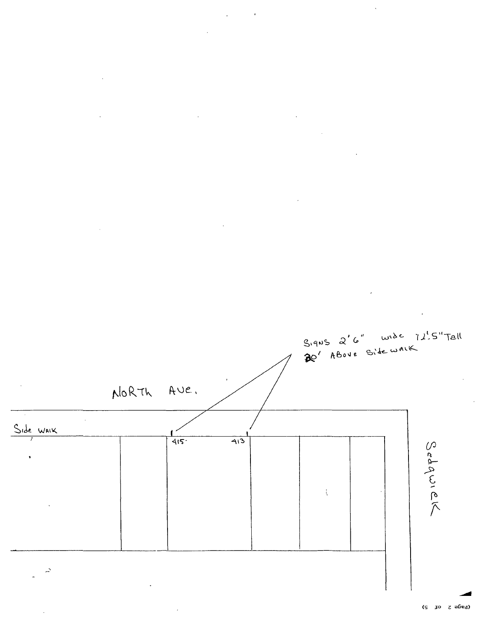